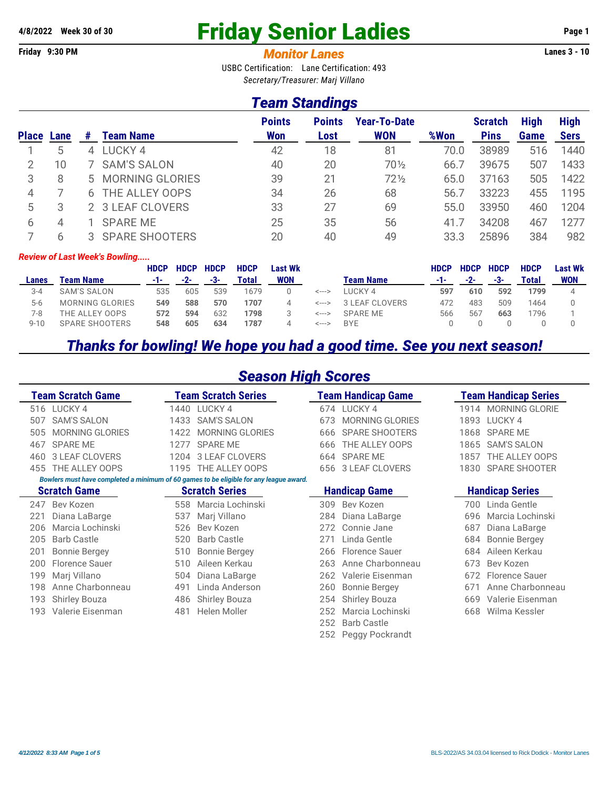# **4/8/2022 Week 30 of 30** Friday Senior Ladies **Page 1**

#### **Friday 9:30 PM** *Monitor Lanes* **Lanes 3 - 10**

USBC Certification: Lane Certification: 493 *Secretary/Treasurer: Marj Villano*

#### *Team Standings*

|              |      |          |                       | <b>Points</b> | <b>Points</b> | <b>Year-To-Date</b> |      | <b>Scratch</b> | <b>High</b> | <b>High</b> |
|--------------|------|----------|-----------------------|---------------|---------------|---------------------|------|----------------|-------------|-------------|
| <b>Place</b> | Lane | #        | <b>Team Name</b>      | <b>Won</b>    | Lost          | <b>WON</b>          | %Won | <b>Pins</b>    | Game        | <b>Sers</b> |
|              | 5    | $\Delta$ | LUCKY 4               | 42            | 18            | 81                  | 70.0 | 38989          | 516         | 1440        |
|              | 10   |          | 7 SAM'S SALON         | 40            | 20            | 70 1/2              | 66.7 | 39675          | 507         | 1433        |
| 3            | 8    |          | 5 MORNING GLORIES     | 39            | 21            | $72\frac{1}{2}$     | 65.0 | 37163          | 505         | 1422        |
|              |      |          | 6 THE ALLEY OOPS      | 34            | 26            | 68                  | 56.7 | 33223          | 455         | 1195        |
| 5            |      |          | 2 3 LEAF CLOVERS      | 33            | 27            | 69                  | 55.0 | 33950          | 460         | 1204        |
| 6            | 4    |          | <b>SPARE ME</b>       | 25            | 35            | 56                  | 41.7 | 34208          | 467         | 1277        |
|              |      |          | <b>SPARE SHOOTERS</b> | 20            | 40            | 49                  | 33.3 | 25896          | 384         | 982         |

#### *Review of Last Week's Bowling.....*

|          |                  | <b>HDCP</b> | <b>HDCP</b> | <b>HDCP</b> | <b>HDCP</b> | <b>Last Wk</b> |       |                  | <b>HDCP</b> | <b>HDCP</b> | <b>HDCP</b> | <b>HDCP</b> | <b>Last Wk</b> |
|----------|------------------|-------------|-------------|-------------|-------------|----------------|-------|------------------|-------------|-------------|-------------|-------------|----------------|
| Lanes    | <b>Team Name</b> | -1-         | $-2-$       | -3-         | Total       | <b>WON</b>     |       | <b>Team Name</b> | -1-         | $-2-$       | -3-         | Total       | WON            |
| $3 - 4$  | SAM'S SALON      | 535         | 605         | 539         | 1679        |                | <---> | I UCKY 4         | 597         | 610         | 592         | 1799        |                |
| $5-6$    | MORNING GLORIES  | 549         | 588         | 570         | 1707        |                | <---> | 3 LEAF CLOVERS   | 472         | 483         | 509         | 1464        |                |
| 7-8      | THE ALLEY OOPS   | 572         | 594         | 632         | 1798        |                | <---> | SPARF MF         | 566         | 567         | 663         | 796         |                |
| $9 - 10$ | SPARE SHOOTERS   | 548         | 605         | 634         | 1787        | $\Delta$       | <---> | <b>BYE</b>       |             |             |             |             |                |

#### *Thanks for bowling! We hope you had a good time. See you next season!*

#### *Season High Scores*

| <b>Team Scratch Game</b>                                                               | <b>Eam Scratch Series</b> | <b>Team Handicap Game</b> | <b>Team Handicap Series</b> |  |  |  |  |  |  |  |
|----------------------------------------------------------------------------------------|---------------------------|---------------------------|-----------------------------|--|--|--|--|--|--|--|
| LUCKY 4                                                                                | LUCKY 4                   | LUCKY <sub>4</sub>        | <b>MORNING GLORIE</b>       |  |  |  |  |  |  |  |
| 516                                                                                    | 1440                      | 674                       | 1914                        |  |  |  |  |  |  |  |
| <b>SAM'S SALON</b>                                                                     | <b>SAM'S SALON</b>        | <b>MORNING GLORIES</b>    | LUCKY 4                     |  |  |  |  |  |  |  |
| 507                                                                                    | 1433                      | 673                       | 1893                        |  |  |  |  |  |  |  |
| <b>MORNING GLORIES</b>                                                                 | <b>MORNING GLORIES</b>    | <b>SPARE SHOOTERS</b>     | <b>SPARE ME</b>             |  |  |  |  |  |  |  |
| 505                                                                                    | 1422                      | 666                       | 1868                        |  |  |  |  |  |  |  |
| <b>SPARE ME</b>                                                                        | <b>SPARE ME</b>           | THE ALLEY OOPS            | <b>SAM'S SALON</b>          |  |  |  |  |  |  |  |
| 467                                                                                    | 1277                      | 666                       | 1865                        |  |  |  |  |  |  |  |
| <b>3 LEAF CLOVERS</b>                                                                  | <b>3 LEAF CLOVERS</b>     | <b>SPARE ME</b>           | THE ALLEY OOPS              |  |  |  |  |  |  |  |
| 460                                                                                    | 1204                      | 664                       | 1857                        |  |  |  |  |  |  |  |
| 455 THE ALLEY OOPS                                                                     | 1195 THE ALLEY OOPS       | 3 LEAF CLOVERS<br>656     | 1830 SPARE SHOOTER          |  |  |  |  |  |  |  |
| Bowlers must have completed a minimum of 60 games to be eligible for any league award. |                           |                           |                             |  |  |  |  |  |  |  |
| <b>Scratch Game</b>                                                                    | <b>Scratch Series</b>     | <b>Handicap Game</b>      | <b>Handicap Series</b>      |  |  |  |  |  |  |  |
| Bev Kozen                                                                              | Marcia Lochinski          | Bev Kozen                 | Linda Gentle                |  |  |  |  |  |  |  |
| 247                                                                                    | 558                       | 309                       | 700                         |  |  |  |  |  |  |  |
| Diana LaBarge                                                                          | Mari Villano              | Diana LaBarge             | Marcia Lochinski            |  |  |  |  |  |  |  |
| 221                                                                                    | 537                       | 284                       | 696                         |  |  |  |  |  |  |  |
| Marcia Lochinski                                                                       | Bev Kozen                 | Connie Jane               | Diana LaBarge               |  |  |  |  |  |  |  |
| 206                                                                                    | 526                       | 272                       | 687                         |  |  |  |  |  |  |  |
| <b>Barb Castle</b>                                                                     | <b>Barb Castle</b>        | Linda Gentle              | <b>Bonnie Bergey</b>        |  |  |  |  |  |  |  |
| 205                                                                                    | 520                       | 271                       | 684                         |  |  |  |  |  |  |  |
| <b>Bonnie Bergey</b>                                                                   | <b>Bonnie Bergey</b>      | <b>Florence Sauer</b>     | Aileen Kerkau               |  |  |  |  |  |  |  |
| 201                                                                                    | 510                       | 266                       | 684                         |  |  |  |  |  |  |  |
| Florence Sauer                                                                         | Aileen Kerkau             | Anne Charbonneau          | 673                         |  |  |  |  |  |  |  |
| 200                                                                                    | 510                       | 263                       | Bev Kozen                   |  |  |  |  |  |  |  |
| 199                                                                                    | Diana LaBarge             | Valerie Eisenman          | 672                         |  |  |  |  |  |  |  |
| Marj Villano                                                                           | 504                       | 262                       | <b>Florence Sauer</b>       |  |  |  |  |  |  |  |
| 198                                                                                    | Linda Anderson            | <b>Bonnie Bergey</b>      | Anne Charbonneau            |  |  |  |  |  |  |  |
| Anne Charbonneau                                                                       | 491                       | 260                       | 671                         |  |  |  |  |  |  |  |
| 193                                                                                    | <b>Shirley Bouza</b>      | <b>Shirley Bouza</b>      | Valerie Eisenman            |  |  |  |  |  |  |  |
| <b>Shirley Bouza</b>                                                                   | 486                       | 254                       | 669                         |  |  |  |  |  |  |  |
| Valerie Eisenman                                                                       | Helen Moller              | Marcia Lochinski          | Wilma Kessler               |  |  |  |  |  |  |  |
| 193                                                                                    | 481                       | 252                       | 668                         |  |  |  |  |  |  |  |
|                                                                                        |                           | <b>Barb Castle</b><br>252 |                             |  |  |  |  |  |  |  |

252 Peggy Pockrandt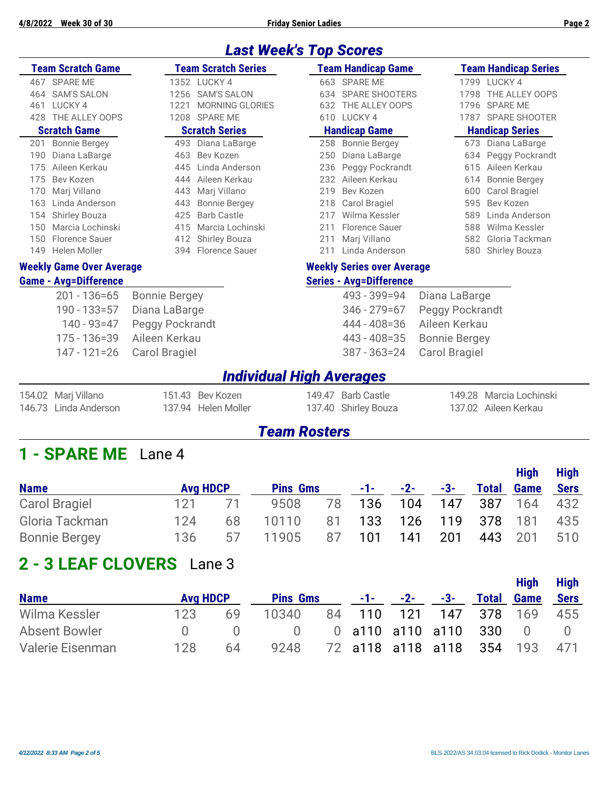#### *Last Week's Top Scores*

|     | <b>Team Scratch Game</b>        |                       | <b>Team Scratch Series</b> |                      | <b>Team Handicap Game</b>         |                        | <b>Team Handicap Series</b> |  |  |
|-----|---------------------------------|-----------------------|----------------------------|----------------------|-----------------------------------|------------------------|-----------------------------|--|--|
| 467 | <b>SPARE ME</b>                 |                       | 1352 LUCKY 4               |                      | 663 SPARE ME                      |                        | 1799 LUCKY 4                |  |  |
| 464 | <b>SAM'S SALON</b>              | 1256                  | <b>SAM'S SALON</b>         |                      | 634 SPARE SHOOTERS                | 1798                   | THE ALLEY OOPS              |  |  |
| 461 | LUCKY <sub>4</sub>              | 1221                  | <b>MORNING GLORIES</b>     | 632                  | THE ALLEY OOPS                    |                        | 1796 SPARE ME               |  |  |
| 428 | THE ALLEY OOPS                  |                       | 1208 SPARE ME              |                      | 610 LUCKY 4                       |                        | 1787 SPARE SHOOTER          |  |  |
|     | <b>Scratch Game</b>             | <b>Scratch Series</b> |                            | <b>Handicap Game</b> |                                   | <b>Handicap Series</b> |                             |  |  |
| 201 | <b>Bonnie Bergey</b>            |                       | 493 Diana LaBarge          |                      | 258 Bonnie Bergey                 |                        | 673 Diana LaBarge           |  |  |
| 190 | Diana LaBarge                   | 463                   | Bev Kozen                  | 250                  | Diana LaBarge                     |                        | 634 Peggy Pockrandt         |  |  |
| 175 | Aileen Kerkau                   | 445                   | Linda Anderson             |                      | 236 Peggy Pockrandt               | 615                    | Aileen Kerkau               |  |  |
| 175 | Bev Kozen                       | 444                   | Aileen Kerkau              | 232                  | Aileen Kerkau                     | 614                    | <b>Bonnie Bergey</b>        |  |  |
| 170 | Marj Villano                    | 443                   | Marj Villano               | 219                  | Bev Kozen                         | 600                    | Carol Bragiel               |  |  |
| 163 | Linda Anderson                  | 443                   | <b>Bonnie Bergey</b>       |                      | 218 Carol Bragiel                 | 595                    | Bev Kozen                   |  |  |
| 154 | <b>Shirley Bouza</b>            | 425                   | <b>Barb Castle</b>         | 217                  | Wilma Kessler                     | 589                    | Linda Anderson              |  |  |
| 150 | Marcia Lochinski                | 415                   | Marcia Lochinski           | 211                  | <b>Florence Sauer</b>             | 588                    | Wilma Kessler               |  |  |
| 150 | Florence Sauer                  |                       | 412 Shirley Bouza          | 211                  | Mari Villano                      | 582                    | Gloria Tackman              |  |  |
| 149 | Helen Moller                    |                       | 394 Florence Sauer         | 211                  | Linda Anderson                    |                        | 580 Shirley Bouza           |  |  |
|     | <b>Weekly Game Over Average</b> |                       |                            |                      | <b>Weekly Series over Average</b> |                        |                             |  |  |
|     | <b>Game - Avg=Difference</b>    |                       |                            |                      | <b>Series - Avg=Difference</b>    |                        |                             |  |  |
|     | $201 - 136 = 65$                | <b>Bonnie Bergey</b>  |                            |                      | 493 - 399 = 94                    | Diana LaBarge          |                             |  |  |
|     |                                 |                       |                            |                      | 0.11 0.70.17                      |                        |                             |  |  |

| Diana LaBarge   |
|-----------------|
| Peggy Pockrandt |
| Aileen Kerkau   |
| Carol Bragiel   |
|                 |

## 346 - 279=67 Peggy Pockrandt 444 - 408 = 36 Aileen Kerkau 443 - 408=35 Bonnie Bergey 147 - 121=26 Carol Bragiel 387 - 363=24 Carol Bragiel

#### *Individual High Averages*

| 154.02 Marj Villano   | 151.43 Bev Kozen    | 149.47 Barb Castle   | 149.28 Marcia Lochinski |
|-----------------------|---------------------|----------------------|-------------------------|
| 146.73 Linda Anderson | 137.94 Helen Moller | 137.40 Shirley Bouza | 137.02 Aileen Kerkau    |

#### *Team Rosters*

### **1 - SPARE ME** Lane 4

| <b>Name</b>          | <b>Avg HDCP</b> |    | <b>Pins Gms</b>              |    |     | $-1$ - $-2$ - $-3$ - |     | <b>Total Game</b> |                     | <b>Sers</b> |
|----------------------|-----------------|----|------------------------------|----|-----|----------------------|-----|-------------------|---------------------|-------------|
| <b>Carol Bragiel</b> | 121.            | 71 | 9508                         | 78 |     |                      |     |                   | 136 104 147 387 164 | 432         |
| Gloria Tackman       | 124             | 68 | 10110 81 133 126 119 378 181 |    |     |                      |     |                   |                     | 435         |
| <b>Bonnie Bergey</b> | 136             |    | 11905                        | 87 | 101 | 141                  | 201 |                   | 443 201             | 510         |

## **2 - 3 LEAF CLOVERS** Lane 3

|                  |                 |    |                 |  |                    |                           | <b>High</b>       | <b>High</b> |
|------------------|-----------------|----|-----------------|--|--------------------|---------------------------|-------------------|-------------|
| <b>Name</b>      | <b>Avg HDCP</b> |    | <b>Pins Gms</b> |  | $-1$ - $-2$ - $-2$ | -3-                       | <b>Total Game</b> | <b>Sers</b> |
| Wilma Kessler    | 123             | 69 | 10340           |  |                    | 84 110 121 147 378 169    |                   | 455         |
| Absent Bowler    |                 |    |                 |  |                    | 0 0 a110 a110 a110 330 0  |                   |             |
| Valerie Eisenman | 128             | 64 | 9248            |  |                    | 72 a118 a118 a118 354 193 |                   | 471         |

**High High**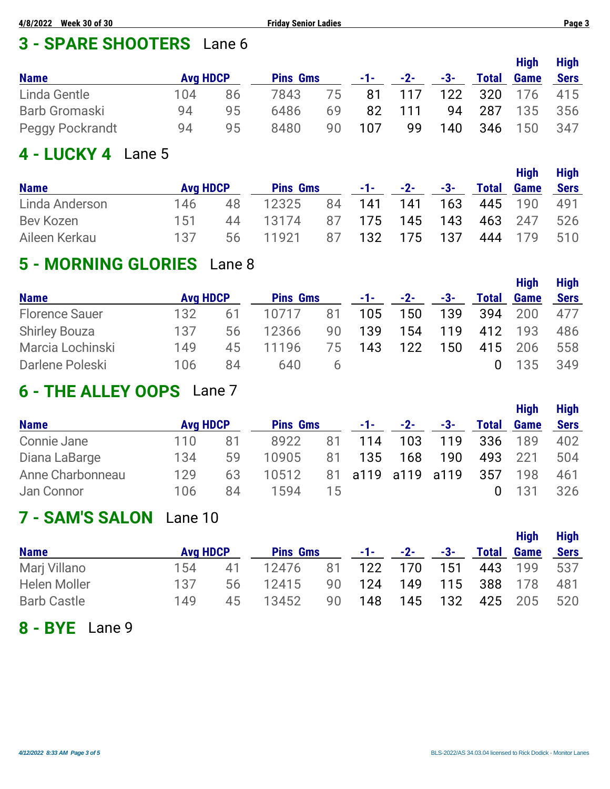# **3 - SPARE SHOOTERS** Lane 6

|                        |                 |    |                 |    |            |        |     |              | <b>High</b> | <b>High</b> |
|------------------------|-----------------|----|-----------------|----|------------|--------|-----|--------------|-------------|-------------|
| <b>Name</b>            | <b>Avg HDCP</b> |    | <b>Pins Gms</b> |    | $-1$ – $-$ | $-2-$  | -3- | <b>Total</b> | <b>Game</b> | <b>Sers</b> |
| Linda Gentle           | 104             | 86 | 7843            | 75 |            | 81 117 | 122 | - 320        | - 176       | 415         |
| Barb Gromaski          | 94              | 95 | 6486            | 69 | 82         | 111    | 94  | 287          | 135         | 356         |
| <b>Peggy Pockrandt</b> | 94              | 95 | 8480            | 90 | 107        | 99     | 140 | 346          | 150         | 347         |

#### **4 - LUCKY 4** Lane 5

| <b>Name</b>    | <b>Avg HDCP</b> |     | <b>Pins Gms</b> |    |        | $-1$ - $-2$ -  | -3- | <b>Total</b> | High<br><b>Game</b> | <b>High</b><br><b>Sers</b> |
|----------------|-----------------|-----|-----------------|----|--------|----------------|-----|--------------|---------------------|----------------------------|
| Linda Anderson | 146             | 48  | 12325           |    | 84 141 | 141            | 163 |              | 445 190             | 491                        |
| Bev Kozen      | 151             | 44  | 13174           |    |        | 87 175 145 143 |     | 463 247      |                     | 526                        |
| Aileen Kerkau  | 137             | 56. | 11921           | 87 |        | 132 175 137    |     |              | 444 179             | 510                        |

### **5 - MORNING GLORIES** Lane 8

|                       |                 |    |                 |         |       |     |     |              | <b>High</b> | <b>High</b> |
|-----------------------|-----------------|----|-----------------|---------|-------|-----|-----|--------------|-------------|-------------|
| <b>Name</b>           | <b>Avg HDCP</b> |    | <b>Pins Gms</b> |         | $-1-$ | -2- | -3- | <b>Total</b> | <b>Game</b> | <b>Sers</b> |
| <b>Florence Sauer</b> | 132             | 61 | 10717           | 81      | 105   | 150 | 139 | -394         | 200         | 477         |
| <b>Shirley Bouza</b>  | 137             | 56 | 12366           | 90      | 139   | 154 | 119 | 412          | 193         | 486         |
| Marcia Lochinski      | 149             | 45 | 11196           | 75      | 143   | 122 | 150 |              | 415 206     | 558         |
| Darlene Poleski       | 106             | 84 | 640             | $\circ$ |       |     |     |              | 135         | 349         |

# **6 - THE ALLEY OOPS** Lane 7

|                  |                 |    |                 |    |                   |       |     |              | <b>High</b> | <b>High</b> |  |
|------------------|-----------------|----|-----------------|----|-------------------|-------|-----|--------------|-------------|-------------|--|
| <b>Name</b>      | <b>Avg HDCP</b> |    | <b>Pins Gms</b> |    | -1-1-1            | $-2-$ | -3- | <b>Total</b> | <b>Game</b> | <b>Sers</b> |  |
| Connie Jane      | 110.            | 81 | 8922            | 81 | 114               | 103   | 119 | -336         | 189         | 402         |  |
| Diana LaBarge    | 134             | 59 | 10905           | 81 | 135               | 168   | 190 | 493          | 221         | 504         |  |
| Anne Charbonneau | 129             | 63 | 10512           |    | 81 a119 a119 a119 |       |     | 357          | 198         | 461         |  |
| Jan Connor       | 106             | 84 | 1594            | 15 |                   |       |     |              | 131         | 326         |  |

# **7 - SAM'S SALON** Lane 10

| <b>Name</b>        | <b>Avg HDCP</b> |    | <b>Pins Gms</b>      | -1-1-1-1 | $-2-$ | -3-             | <b>High</b><br><b>Total Game</b> | <b>High</b><br><b>Sers</b> |
|--------------------|-----------------|----|----------------------|----------|-------|-----------------|----------------------------------|----------------------------|
| Marj Villano       | 154             | 41 | 12476 81 122 170 151 |          |       |                 | 443 199 537                      |                            |
| Helen Moller       | 137             | 56 | 12415                | 90 124   |       | 149 115 388 178 |                                  | 481                        |
| <b>Barb Castle</b> | 149             | 45 | 13452                | 90 148   |       | 145 132         | 425 205                          | 520                        |

**8 - BYE** Lane 9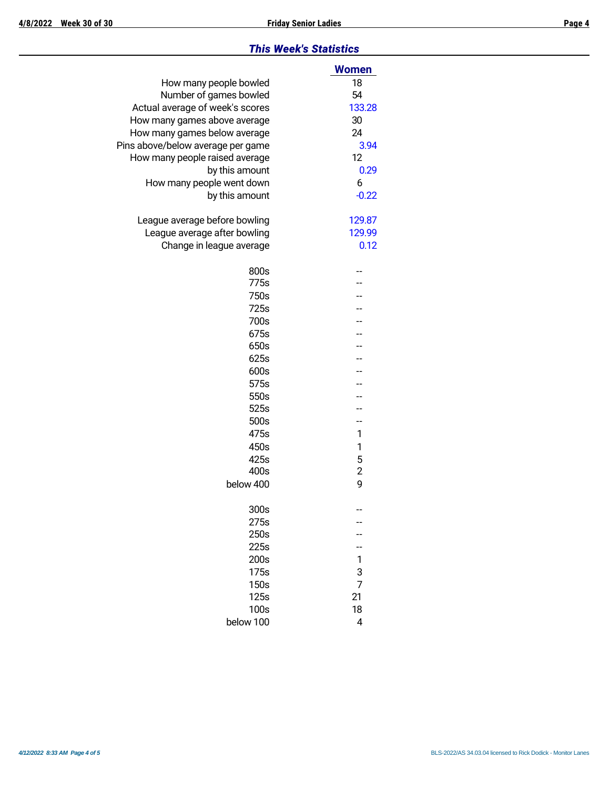#### *This Week's Statistics*

|                                   | <b>Women</b>   |
|-----------------------------------|----------------|
| How many people bowled            | 18             |
| Number of games bowled            | 54             |
| Actual average of week's scores   | 133.28         |
| How many games above average      | 30             |
| How many games below average      | 24             |
| Pins above/below average per game | 3.94           |
| How many people raised average    | 12             |
| by this amount                    | 0.29           |
| How many people went down         | 6              |
| by this amount                    | $-0.22$        |
| League average before bowling     | 129.87         |
| League average after bowling      | 129.99         |
| Change in league average          | 0.12           |
| 800s                              |                |
| 775s                              |                |
| 750s                              |                |
| 725s                              |                |
| 700s                              |                |
| 675s                              |                |
| 650s                              |                |
| 625s                              |                |
| 600s                              |                |
| 575s                              |                |
| 550s                              |                |
| 525s                              |                |
| 500s                              | --             |
| 475s                              | 1              |
| 450s                              | 1              |
| 425s                              | 5              |
| 400s                              | $\overline{c}$ |
| below 400                         | 9              |
| 300s                              |                |
| 275s                              |                |
| 250s                              |                |
| 225s                              |                |
| 200s                              | 1              |
| 175s                              | 3              |
| 150s                              | 7              |
| 125s                              | 21             |
| 100s                              | 18             |
| below 100                         | 4              |